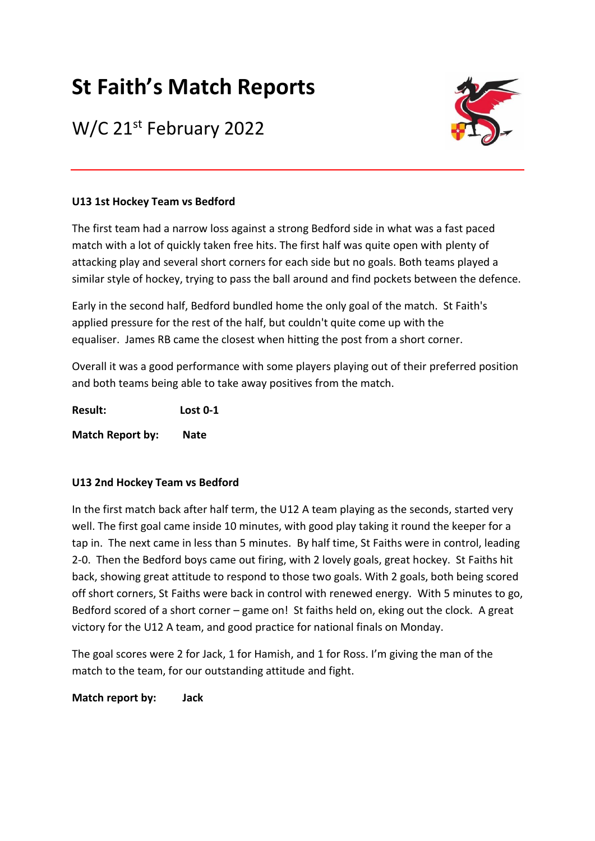# **St Faith's Match Reports**

# W/C 21<sup>st</sup> February 2022



### **U13 1st Hockey Team vs Bedford**

The first team had a narrow loss against a strong Bedford side in what was a fast paced match with a lot of quickly taken free hits. The first half was quite open with plenty of attacking play and several short corners for each side but no goals. Both teams played a similar style of hockey, trying to pass the ball around and find pockets between the defence.

Early in the second half, Bedford bundled home the only goal of the match. St Faith's applied pressure for the rest of the half, but couldn't quite come up with the equaliser. James RB came the closest when hitting the post from a short corner.

Overall it was a good performance with some players playing out of their preferred position and both teams being able to take away positives from the match.

**Result: Lost 0-1 Match Report by: Nate**

## **U13 2nd Hockey Team vs Bedford**

In the first match back after half term, the U12 A team playing as the seconds, started very well. The first goal came inside 10 minutes, with good play taking it round the keeper for a tap in. The next came in less than 5 minutes. By half time, St Faiths were in control, leading 2-0. Then the Bedford boys came out firing, with 2 lovely goals, great hockey. St Faiths hit back, showing great attitude to respond to those two goals. With 2 goals, both being scored off short corners, St Faiths were back in control with renewed energy. With 5 minutes to go, Bedford scored of a short corner – game on! St faiths held on, eking out the clock. A great victory for the U12 A team, and good practice for national finals on Monday.

The goal scores were 2 for Jack, 1 for Hamish, and 1 for Ross. I'm giving the man of the match to the team, for our outstanding attitude and fight.

**Match report by: Jack**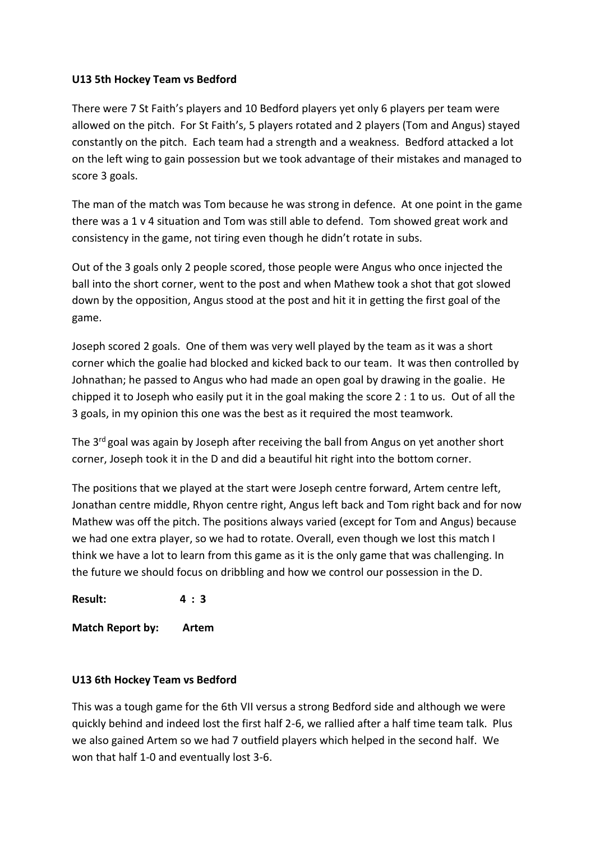#### **U13 5th Hockey Team vs Bedford**

There were 7 St Faith's players and 10 Bedford players yet only 6 players per team were allowed on the pitch. For St Faith's, 5 players rotated and 2 players (Tom and Angus) stayed constantly on the pitch. Each team had a strength and a weakness. Bedford attacked a lot on the left wing to gain possession but we took advantage of their mistakes and managed to score 3 goals.

The man of the match was Tom because he was strong in defence. At one point in the game there was a 1 v 4 situation and Tom was still able to defend. Tom showed great work and consistency in the game, not tiring even though he didn't rotate in subs.

Out of the 3 goals only 2 people scored, those people were Angus who once injected the ball into the short corner, went to the post and when Mathew took a shot that got slowed down by the opposition, Angus stood at the post and hit it in getting the first goal of the game.

Joseph scored 2 goals. One of them was very well played by the team as it was a short corner which the goalie had blocked and kicked back to our team. It was then controlled by Johnathan; he passed to Angus who had made an open goal by drawing in the goalie. He chipped it to Joseph who easily put it in the goal making the score 2 : 1 to us. Out of all the 3 goals, in my opinion this one was the best as it required the most teamwork.

The  $3<sup>rd</sup>$  goal was again by Joseph after receiving the ball from Angus on yet another short corner, Joseph took it in the D and did a beautiful hit right into the bottom corner.

The positions that we played at the start were Joseph centre forward, Artem centre left, Jonathan centre middle, Rhyon centre right, Angus left back and Tom right back and for now Mathew was off the pitch. The positions always varied (except for Tom and Angus) because we had one extra player, so we had to rotate. Overall, even though we lost this match I think we have a lot to learn from this game as it is the only game that was challenging. In the future we should focus on dribbling and how we control our possession in the D.

**Result: 4 : 3**

**Match Report by: Artem**

#### **U13 6th Hockey Team vs Bedford**

This was a tough game for the 6th VII versus a strong Bedford side and although we were quickly behind and indeed lost the first half 2-6, we rallied after a half time team talk. Plus we also gained Artem so we had 7 outfield players which helped in the second half. We won that half 1-0 and eventually lost 3-6.